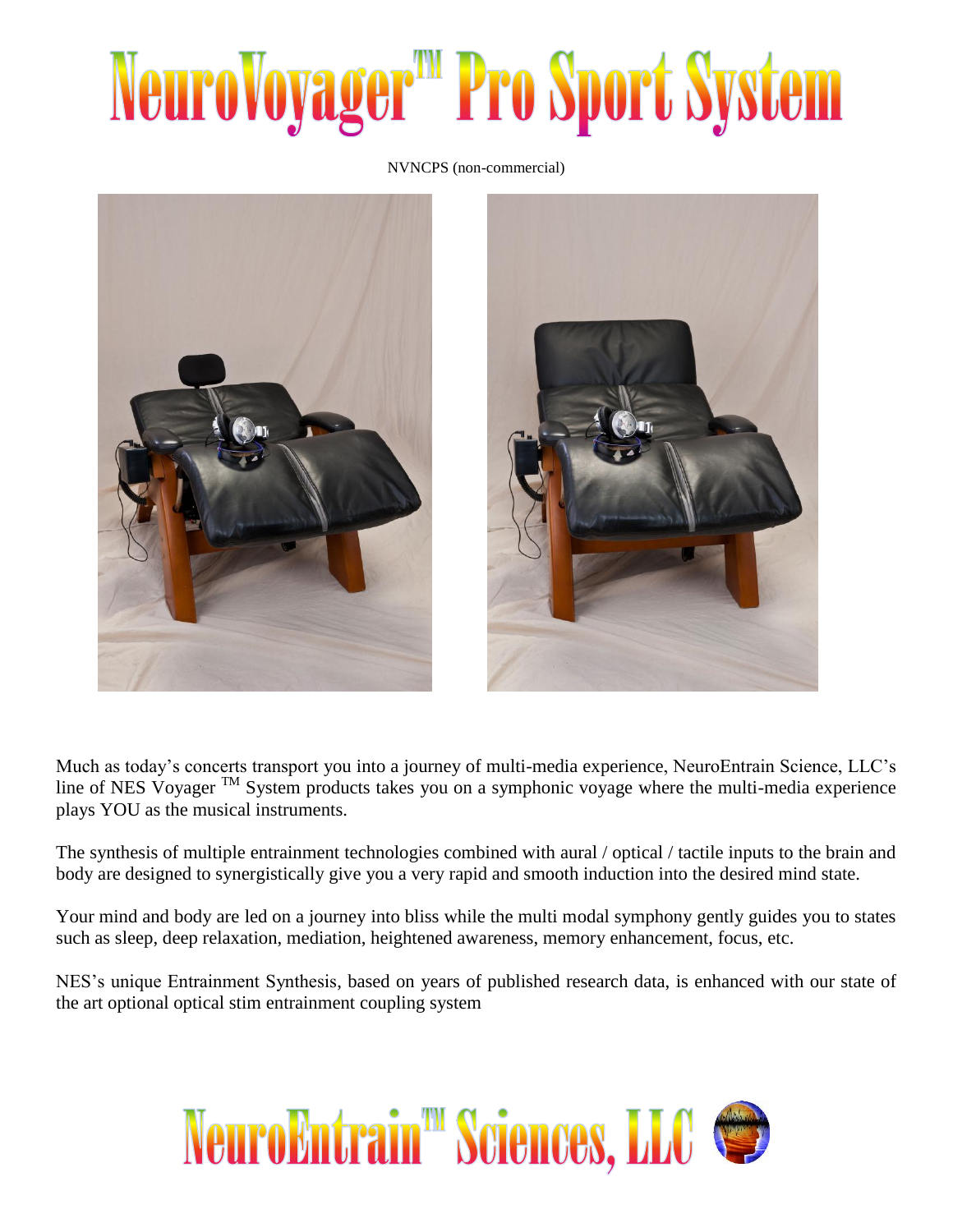## NeuroVoyager<sup>m</sup> Pro Sport System

NVNCPS (non-commercial)



Much as today's concerts transport you into a journey of multi-media experience, NeuroEntrain Science, LLC's line of NES Voyager TM System products takes you on a symphonic voyage where the multi-media experience plays YOU as the musical instruments.

The synthesis of multiple entrainment technologies combined with aural / optical / tactile inputs to the brain and body are designed to synergistically give you a very rapid and smooth induction into the desired mind state.

Your mind and body are led on a journey into bliss while the multi modal symphony gently guides you to states such as sleep, deep relaxation, mediation, heightened awareness, memory enhancement, focus, etc.

NES's unique Entrainment Synthesis, based on years of published research data, is enhanced with our state of the art optional optical stim entrainment coupling system